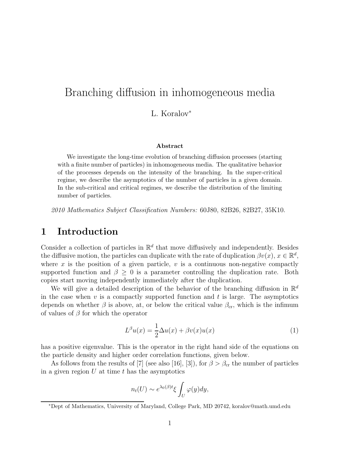# Branching diffusion in inhomogeneous media

L. Koralov<sup>∗</sup>

#### **Abstract**

We investigate the long-time evolution of branching diffusion processes (starting with a finite number of particles) in inhomogeneous media. The qualitative behavior of the processes depends on the intensity of the branching. In the super-critical regime, we describe the asymptotics of the number of particles in a given domain. In the sub-critical and critical regimes, we describe the distribution of the limiting number of particles.

2010 Mathematics Subject Classification Numbers: 60J80, 82B26, 82B27, 35K10.

#### **1 Introduction**

Consider a collection of particles in  $\mathbb{R}^d$  that move diffusively and independently. Besides the diffusive motion, the particles can duplicate with the rate of duplication  $\beta v(x)$ ,  $x \in \mathbb{R}^d$ , where x is the position of a given particle,  $v$  is a continuous non-negative compactly supported function and  $\beta \geq 0$  is a parameter controlling the duplication rate. Both copies start moving independently immediately after the duplication.

We will give a detailed description of the behavior of the branching diffusion in  $\mathbb{R}^d$ in the case when  $v$  is a compactly supported function and  $t$  is large. The asymptotics depends on whether  $\beta$  is above, at, or below the critical value  $\beta_{cr}$ , which is the infimum of values of  $\beta$  for which the operator

$$
L^{\beta}u(x) = \frac{1}{2}\Delta u(x) + \beta v(x)u(x)
$$
\n(1)

has a positive eigenvalue. This is the operator in the right hand side of the equations on the particle density and higher order correlation functions, given below.

As follows from the results of [7] (see also [16], [3]), for  $\beta > \beta_{cr}$  the number of particles in a given region  $U$  at time  $t$  has the asymptotics

$$
n_t(U) \sim e^{\lambda_0(\beta)t} \xi \int_U \varphi(y) dy,
$$

<sup>∗</sup>Dept of Mathematics, University of Maryland, College Park, MD 20742, koralov@math.umd.edu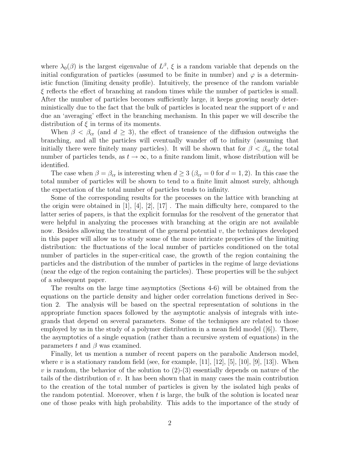where  $\lambda_0(\beta)$  is the largest eigenvalue of  $L^{\beta}$ ,  $\xi$  is a random variable that depends on the initial configuration of particles (assumed to be finite in number) and  $\varphi$  is a deterministic function (limiting density profile). Intuitively, the presence of the random variable  $\xi$  reflects the effect of branching at random times while the number of particles is small. After the number of particles becomes sufficiently large, it keeps growing nearly deterministically due to the fact that the bulk of particles is located near the support of  $v$  and due an 'averaging' effect in the branching mechanism. In this paper we will describe the distribution of  $\xi$  in terms of its moments.

When  $\beta < \beta_{cr}$  (and  $d \geq 3$ ), the effect of transience of the diffusion outweighs the branching, and all the particles will eventually wander off to infinity (assuming that initially there were finitely many particles). It will be shown that for  $\beta < \beta_{cr}$  the total number of particles tends, as  $t \to \infty$ , to a finite random limit, whose distribution will be identified.

The case when  $\beta = \beta_{cr}$  is interesting when  $d \geq 3$  ( $\beta_{cr} = 0$  for  $d = 1, 2$ ). In this case the total number of particles will be shown to tend to a finite limit almost surely, although the expectation of the total number of particles tends to infinity.

Some of the corresponding results for the processes on the lattice with branching at the origin were obtained in [1], [4], [2], [17] . The main difficulty here, compared to the latter series of papers, is that the explicit formulas for the resolvent of the generator that were helpful in analyzing the processes with branching at the origin are not available now. Besides allowing the treatment of the general potential  $v$ , the techniques developed in this paper will allow us to study some of the more intricate properties of the limiting distribution: the fluctuations of the local number of particles conditioned on the total number of particles in the super-critical case, the growth of the region containing the particles and the distribution of the number of particles in the regime of large deviations (near the edge of the region containing the particles). These properties will be the subject of a subsequent paper.

The results on the large time asymptotics (Sections 4-6) will be obtained from the equations on the particle density and higher order correlation functions derived in Section 2. The analysis will be based on the spectral representation of solutions in the appropriate function spaces followed by the asymptotic analysis of integrals with integrands that depend on several parameters. Some of the techniques are related to those employed by us in the study of a polymer distribution in a mean field model  $([6])$ . There, the asymptotics of a single equation (rather than a recursive system of equations) in the parameters t and  $\beta$  was examined.

Finally, let us mention a number of recent papers on the parabolic Anderson model, where v is a stationary random field (see, for example, [11], [12], [5], [10], [9], [13]). When v is random, the behavior of the solution to  $(2)-(3)$  essentially depends on nature of the tails of the distribution of  $v$ . It has been shown that in many cases the main contribution to the creation of the total number of particles is given by the isolated high peaks of the random potential. Moreover, when t is large, the bulk of the solution is located near one of those peaks with high probability. This adds to the importance of the study of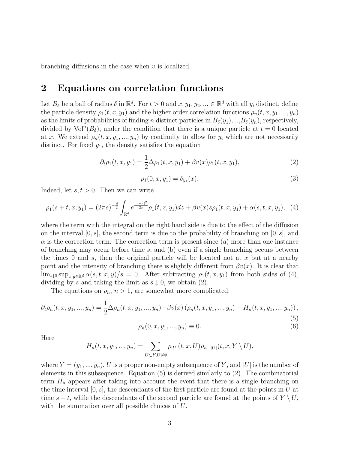branching diffusions in the case when  $v$  is localized.

#### **2 Equations on correlation functions**

Let  $B_\delta$  be a ball of radius  $\delta$  in  $\mathbb{R}^d$ . For  $t > 0$  and  $x, y_1, y_2, ... \in \mathbb{R}^d$  with all  $y_i$  distinct, define the particle density  $\rho_1(t, x, y_1)$  and the higher order correlation functions  $\rho_n(t, x, y_1, ..., y_n)$ as the limits of probabilities of finding n distinct particles in  $B_{\delta}(y_1),...,B_{\delta}(y_n)$ , respectively, divided by  $Vol<sup>n</sup>(B<sub>δ</sub>)$ , under the condition that there is a unique particle at  $t = 0$  located at x. We extend  $\rho_n(t, x, y_1, ..., y_n)$  by continuity to allow for  $y_i$  which are not necessarily distinct. For fixed  $y_1$ , the density satisfies the equation

$$
\partial_t \rho_1(t, x, y_1) = \frac{1}{2} \Delta \rho_1(t, x, y_1) + \beta v(x) \rho_1(t, x, y_1), \tag{2}
$$

$$
\rho_1(0, x, y_1) = \delta_{y_1}(x). \tag{3}
$$

Indeed, let  $s, t > 0$ . Then we can write

$$
\rho_1(s+t,x,y_1)=(2\pi s)^{-\frac{d}{2}}\int_{\mathbb{R}^d}e^{\frac{|x-z|^2}{2s}}\rho_1(t,z,y_1)dz+\beta v(x)s\rho_1(t,x,y_1)+\alpha(s,t,x,y_1),\quad (4)
$$

where the term with the integral on the right hand side is due to the effect of the diffusion on the interval  $[0, s]$ , the second term is due to the probability of branching on  $[0, s]$ , and  $\alpha$  is the correction term. The correction term is present since (a) more than one instance of branching may occur before time  $s$ , and (b) even if a single branching occurs between the times 0 and s, then the original particle will be located not at x but at a nearby point and the intensity of branching there is slightly different from  $\beta v(x)$ . It is clear that  $\lim_{s\downarrow 0} \sup_{x,y\in\mathbb{R}^d} \alpha(s,t,x,y)/s = 0.$  After subtracting  $\rho_1(t,x,y_1)$  from both sides of (4), dividing by s and taking the limit as  $s \downarrow 0$ , we obtain (2).

The equations on  $\rho_n$ ,  $n > 1$ , are somewhat more complicated:

$$
\partial_t \rho_n(t, x, y_1, ..., y_n) = \frac{1}{2} \Delta \rho_n(t, x, y_1, ..., y_n) + \beta v(x) \left( \rho_n(t, x, y_1, ..., y_n) + H_n(t, x, y_1, ..., y_n) \right),
$$
\n(5)

$$
\rho_n(0, x, y_1, ..., y_n) \equiv 0. \tag{6}
$$

Here

$$
H_n(t, x, y_1, ..., y_n) = \sum_{U \subset Y, U \neq \emptyset} \rho_{|U|}(t, x, U) \rho_{n-|U|}(t, x, Y \setminus U),
$$

where  $Y = (y_1, ..., y_n)$ , U is a proper non-empty subsequence of Y, and |U| is the number of elements in this subsequence. Equation (5) is derived similarly to (2). The combinatorial term  $H_n$  appears after taking into account the event that there is a single branching on the time interval  $[0, s]$ , the descendants of the first particle are found at the points in U at time  $s + t$ , while the descendants of the second particle are found at the points of  $Y \setminus U$ , with the summation over all possible choices of U.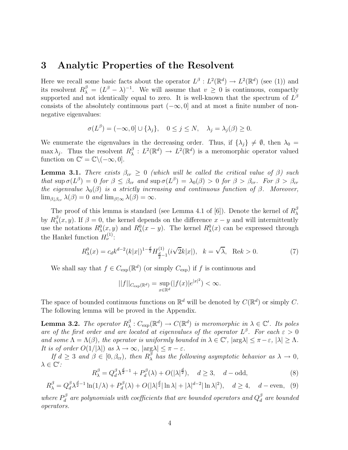#### **3 Analytic Properties of the Resolvent**

Here we recall some basic facts about the operator  $L^{\beta}: L^2(\mathbb{R}^d) \to L^2(\mathbb{R}^d)$  (see (1)) and its resolvent  $R_{\lambda}^{\beta} = (L^{\beta} - \lambda)^{-1}$ . We will assume that  $v \geq 0$  is continuous, compactly supported and not identically equal to zero. It is well-known that the spectrum of  $L^{\beta}$ consists of the absolutely continuous part  $(-\infty, 0]$  and at most a finite number of nonnegative eigenvalues:

$$
\sigma(L^{\beta}) = (-\infty, 0] \cup \{\lambda_j\}, \quad 0 \le j \le N, \quad \lambda_j = \lambda_j(\beta) \ge 0.
$$

We enumerate the eigenvalues in the decreasing order. Thus, if  $\{\lambda_j\} \neq \emptyset$ , then  $\lambda_0 =$ max  $\lambda_j$ . Thus the resolvent  $R_{\lambda}^{\beta}: L^2(\mathbb{R}^d) \to L^2(\mathbb{R}^d)$  is a meromorphic operator valued function on  $\mathbb{C}' = \mathbb{C} \setminus (-\infty, 0].$ 

**Lemma 3.1.** There exists  $\beta_{cr} \geq 0$  (which will be called the critical value of  $\beta$ ) such that  $\sup \sigma(L^{\beta})=0$  for  $\beta \leq \beta_{cr}$  and  $\sup \sigma(L^{\beta})=\lambda_0(\beta)>0$  for  $\beta > \beta_{cr}$ . For  $\beta > \beta_{cr}$ the eigenvalue  $\lambda_0(\beta)$  is a strictly increasing and continuous function of  $\beta$ . Moreover,  $\lim_{\beta \downarrow \beta_{cr}} \lambda(\beta) = 0$  and  $\lim_{\beta \uparrow \infty} \lambda(\beta) = \infty$ .

The proof of this lemma is standard (see Lemma 4.1 of [6]). Denote the kernel of  $R_{\lambda}^{\beta}$ by  $R_{\lambda}^{\beta}(x, y)$ . If  $\beta = 0$ , the kernel depends on the difference  $x - y$  and will intermittently use the notations  $R^0_\lambda(x, y)$  and  $R^0_\lambda(x - y)$ . The kernel  $R^0_\lambda(x)$  can be expressed through the Hankel function  $H_{\nu}^{(1)}$ :

$$
R_{\lambda}^{0}(x) = c_{d}k^{d-2}(k|x|)^{1-\frac{d}{2}}H_{\frac{d}{2}-1}^{(1)}(i\sqrt{2}k|x|), \quad k = \sqrt{\lambda}, \quad \text{Re}k > 0.
$$
 (7)

We shall say that  $f \in C_{\text{exp}}(\mathbb{R}^d)$  (or simply  $C_{\text{exp}}$ ) if f is continuous and

$$
||f||_{C_{\exp}(\mathbb{R}^d)} = \sup_{x \in \mathbb{R}^d} (|f(x)|e^{|x|^2}) < \infty.
$$

The space of bounded continuous functions on  $\mathbb{R}^d$  will be denoted by  $C(\mathbb{R}^d)$  or simply C. The following lemma will be proved in the Appendix.

**Lemma 3.2.** The operator  $R^{\beta}_{\lambda}: C_{\exp}(\mathbb{R}^d) \to C(\mathbb{R}^d)$  is meromorphic in  $\lambda \in \mathbb{C}'$ . Its poles are of the first order and are located at eigenvalues of the operator  $L^{\beta}$ . For each  $\varepsilon > 0$ and some  $\Lambda = \Lambda(\beta)$ , the operator is uniformly bounded in  $\lambda \in \mathbb{C}'$ ,  $|\arg \lambda| \leq \pi - \varepsilon$ ,  $|\lambda| \geq \Lambda$ . It is of order  $O(1/|\lambda|)$  as  $\lambda \to \infty$ ,  $|\arg \lambda| \leq \pi - \varepsilon$ .

If  $d \geq 3$  and  $\beta \in [0, \beta_{cr})$ , then  $R_{\lambda}^{\beta}$  has the following asymptotic behavior as  $\lambda \to 0$ ,  $\lambda \in \mathbb{C}'$ :

$$
R_{\lambda}^{\beta} = Q_d^{\beta} \lambda^{\frac{d}{2}-1} + P_d^{\beta}(\lambda) + O(|\lambda|^{\frac{d}{2}}), \quad d \ge 3, \quad d - \text{odd},
$$
\n(8)

$$
R_{\lambda}^{\beta} = Q_d^{\beta} \lambda^{\frac{d}{2}-1} \ln(1/\lambda) + P_d^{\beta}(\lambda) + O(|\lambda|^{\frac{d}{2}} |\ln \lambda| + |\lambda|^{d-2} |\ln \lambda|^2), \quad d \ge 4, \quad d = \text{even}, \tag{9}
$$

where  $P_d^{\beta}$  are polynomials with coefficients that are bounded operators and  $Q_d^{\beta}$  are bounded operators.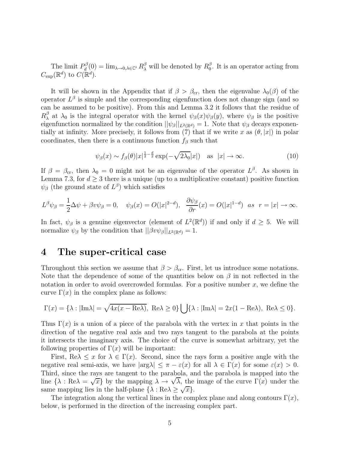The limit  $P_d^{\beta}(0) = \lim_{\lambda \to 0, \lambda \in \mathbb{C}'} R_{\lambda}^{\beta}$  will be denoted by  $R_0^{\beta}$ . It is an operator acting from  $C_{\text{exp}}(\mathbb{R}^d)$  to  $C(\mathbb{R}^d)$ .

It will be shown in the Appendix that if  $\beta > \beta_{cr}$ , then the eigenvalue  $\lambda_0(\beta)$  of the operator  $L^{\beta}$  is simple and the corresponding eigenfunction does not change sign (and so can be assumed to be positive). From this and Lemma 3.2 it follows that the residue of  $R_{\lambda}^{\beta}$  at  $\lambda_0$  is the integral operator with the kernel  $\psi_{\beta}(x)\psi_{\beta}(y)$ , where  $\psi_{\beta}$  is the positive eigenfunction normalized by the condition  $||\psi_{\beta}||_{L^2(\mathbb{R}^d)} = 1$ . Note that  $\psi_{\beta}$  decays exponentially at infinity. More precisely, it follows from (7) that if we write x as  $(\theta, |x|)$  in polar coordinates, then there is a continuous function  $f_\beta$  such that

$$
\psi_{\beta}(x) \sim f_{\beta}(\theta)|x|^{\frac{1}{2}-\frac{d}{2}}\exp(-\sqrt{2\lambda_0}|x|) \quad \text{as} \quad |x| \to \infty. \tag{10}
$$

If  $\beta = \beta_{cr}$ , then  $\lambda_0 = 0$  might not be an eigenvalue of the operator  $L^{\beta}$ . As shown in Lemma 7.3, for  $d \geq 3$  there is a unique (up to a multiplicative constant) positive function  $\psi_{\beta}$  (the ground state of  $L^{\beta}$ ) which satisfies

$$
L^{\beta}\psi_{\beta} = \frac{1}{2}\Delta\psi + \beta v \psi_{\beta} = 0, \quad \psi_{\beta}(x) = O(|x|^{2-d}), \quad \frac{\partial \psi_{\beta}}{\partial r}(x) = O(|x|^{1-d}) \quad \text{as} \quad r = |x| \to \infty.
$$

In fact,  $\psi_{\beta}$  is a genuine eigenvector (element of  $L^2(\mathbb{R}^d)$ ) if and only if  $d \geq 5$ . We will normalize  $\psi_{\beta}$  by the condition that  $||\beta v \psi_{\beta}||_{L^2(\mathbb{R}^d)} = 1$ .

### **4 The super-critical case**

Throughout this section we assume that  $\beta > \beta_{cr}$ . First, let us introduce some notations. Note that the dependence of some of the quantities below on  $\beta$  in not reflected in the notation in order to avoid overcrowded formulas. For a positive number  $x$ , we define the curve  $\Gamma(x)$  in the complex plane as follows:

$$
\Gamma(x) = \{\lambda : |\text{Im}\lambda| = \sqrt{4x(x - \text{Re}\lambda)}, \text{ Re}\lambda \ge 0\} \bigcup \{\lambda : |\text{Im}\lambda| = 2x(1 - \text{Re}\lambda), \text{ Re}\lambda \le 0\}.
$$

Thus  $\Gamma(x)$  is a union of a piece of the parabola with the vertex in x that points in the direction of the negative real axis and two rays tangent to the parabola at the points it intersects the imaginary axis. The choice of the curve is somewhat arbitrary, yet the following properties of  $\Gamma(x)$  will be important:

First, Re $\lambda \leq x$  for  $\lambda \in \Gamma(x)$ . Second, since the rays form a positive angle with the negative real semi-axis, we have  $|\arg \lambda| \leq \pi - \varepsilon(x)$  for all  $\lambda \in \Gamma(x)$  for some  $\varepsilon(x) > 0$ . Third, since the rays are tangent to the parabola, and the parabola is mapped into the I filtra, since the rays are tangent to the parabola, and the parabola is mapped into the line {λ : Reλ =  $\sqrt{x}$ } by the mapping  $\lambda \to \sqrt{\lambda}$ , the image of the curve Γ(x) under the same mapping lies in the half-plane  $\{\lambda : \text{Re}\lambda \geq \sqrt{x}\}.$ 

The integration along the vertical lines in the complex plane and along contours  $\Gamma(x)$ , below, is performed in the direction of the increasing complex part.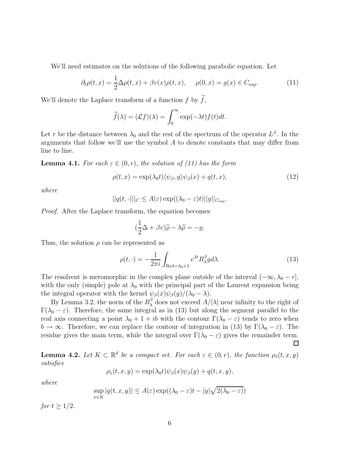We'll need estimates on the solutions of the following parabolic equation. Let

$$
\partial_t \rho(t, x) = \frac{1}{2} \Delta \rho(t, x) + \beta v(x) \rho(t, x), \quad \rho(0, x) = g(x) \in C_{\text{exp}}.\tag{11}
$$

We'll denote the Laplace transform of a function  $f$  by  $f$ ,

$$
\widetilde{f}(\lambda) = (\mathcal{L}f)(\lambda) = \int_0^\infty \exp(-\lambda t) f(t) dt.
$$

Let r be the distance between  $\lambda_0$  and the rest of the spectrum of the operator  $L^{\beta}$ . In the arguments that follow we'll use the symbol  $A$  to denote constants that may differ from line to line.

**Lemma 4.1.** For each  $\varepsilon \in (0, r)$ , the solution of (11) has the form

$$
\rho(t,x) = \exp(\lambda_0 t) \langle \psi_\beta, g \rangle \psi_\beta(x) + q(t,x), \qquad (12)
$$

where

$$
||q(t,\cdot)||_C \leq A(\varepsilon) \exp((\lambda_0 - \varepsilon)t)||g||_{C_{\exp}}.
$$

Proof. After the Laplace transform, the equation becomes

$$
(\frac{1}{2}\Delta + \beta v)\widetilde{\rho} - \lambda \widetilde{\rho} = -g.
$$

Thus, the solution  $\rho$  can be represented as

$$
\rho(t,\cdot) = -\frac{1}{2\pi i} \int_{\text{Re}\lambda = \lambda_0 + 1} e^{\lambda t} R_{\lambda}^{\beta} g d\lambda. \tag{13}
$$

The resolvent is meromorphic in the complex plane outside of the interval  $(-\infty, \lambda_0 - r]$ , with the only (simple) pole at  $\lambda_0$  with the principal part of the Laurent expansion being the integral operator with the kernel  $\psi_{\beta}(x)\psi_{\beta}(y)/(\lambda_0 - \lambda)$ .

By Lemma 3.2, the norm of the  $R_\lambda^\beta$  does not exceed  $A/|\lambda|$  near infinity to the right of  $\Gamma(\lambda_0 - \varepsilon)$ . Therefore, the same integral as in (13) but along the segment parallel to the real axis connecting a point  $\lambda_0 + 1 + ib$  with the contour  $\Gamma(\lambda_0 - \varepsilon)$  tends to zero when  $b \to \infty$ . Therefore, we can replace the contour of integration in (13) by  $\Gamma(\lambda_0 - \varepsilon)$ . The residue gives the main term, while the integral over  $\Gamma(\lambda_0 - \varepsilon)$  gives the remainder term. □

**Lemma 4.2.** Let  $K \subset \mathbb{R}^d$  be a compact set. For each  $\varepsilon \in (0, r)$ , the function  $\rho_1(t, x, y)$ satisfies

$$
\rho_1(t, x, y) = \exp(\lambda_0 t) \psi_\beta(x) \psi_\beta(y) + q(t, x, y),
$$

where

$$
\sup_{x \in K} |q(t, x, y)| \le A(\varepsilon) \exp((\lambda_0 - \varepsilon)t - |y|\sqrt{2(\lambda_0 - \varepsilon)})
$$

for  $t \geq 1/2$ .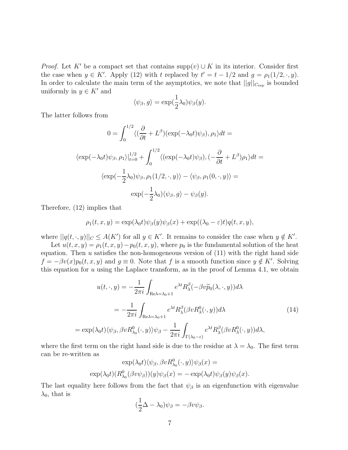*Proof.* Let K' be a compact set that contains supp $(v) \cup K$  in its interior. Consider first the case when  $y \in K'$ . Apply (12) with t replaced by  $t' = t - 1/2$  and  $g = \rho_1(1/2, \cdot, y)$ . In order to calculate the main term of the asymptotics, we note that  $||g||_{C_{\exp}}$  is bounded uniformly in  $y \in K'$  and

$$
\langle \psi_{\beta}, g \rangle = \exp(\frac{1}{2}\lambda_0)\psi_{\beta}(y).
$$

The latter follows from

$$
0 = \int_0^{1/2} \langle (\frac{\partial}{\partial t} + L^\beta)(\exp(-\lambda_0 t)\psi_\beta), \rho_1 \rangle dt =
$$
  

$$
\langle \exp(-\lambda_0 t)\psi_\beta, \rho_1 \rangle|_{t=0}^{1/2} + \int_0^{1/2} \langle (\exp(-\lambda_0 t)\psi_\beta), (-\frac{\partial}{\partial t} + L^\beta)\rho_1 \rangle dt =
$$
  

$$
\langle \exp(-\frac{1}{2}\lambda_0)\psi_\beta, \rho_1(1/2, \cdot, y) \rangle - \langle \psi_\beta, \rho_1(0, \cdot, y) \rangle =
$$
  

$$
\exp(-\frac{1}{2}\lambda_0)\langle \psi_\beta, g \rangle - \psi_\beta(y).
$$

Therefore, (12) implies that

$$
\rho_1(t, x, y) = \exp(\lambda_0 t) \psi_\beta(y) \psi_\beta(x) + \exp((\lambda_0 - \varepsilon)t) q(t, x, y),
$$

where  $||q(t, \cdot, y)||_C \leq A(K')$  for all  $y \in K'$ . It remains to consider the case when  $y \notin K'$ .

Let  $u(t, x, y) = \rho_1(t, x, y) - p_0(t, x, y)$ , where  $p_0$  is the fundamental solution of the heat equation. Then  $u$  satisfies the non-homogeneous version of  $(11)$  with the right hand side  $f = -\beta v(x)p_0(t, x, y)$  and  $g \equiv 0$ . Note that f is a smooth function since  $y \notin K'$ . Solving this equation for  $u$  using the Laplace transform, as in the proof of Lemma 4.1, we obtain

$$
u(t, \cdot, y) = -\frac{1}{2\pi i} \int_{\text{Re}\lambda = \lambda_0 + 1} e^{\lambda t} R_{\lambda}^{\beta}(-\beta v \widetilde{p}_0(\lambda, \cdot, y)) d\lambda
$$
  

$$
= -\frac{1}{2\pi i} \int_{\text{Re}\lambda = \lambda_0 + 1} e^{\lambda t} R_{\lambda}^{\beta}(\beta v R_{\lambda}^0(\cdot, y)) d\lambda
$$
(14)  

$$
= \exp(\lambda_0 t) \langle \psi_{\beta}, \beta v R_{\lambda_0}^0(\cdot, y) \rangle \psi_{\beta} - \frac{1}{2\pi i} \int_{\Gamma(\lambda_0 - \varepsilon)} e^{\lambda t} R_{\lambda}^{\beta}(\beta v R_{\lambda}^0(\cdot, y)) d\lambda,
$$

where the first term on the right hand side is due to the residue at  $\lambda = \lambda_0$ . The first term can be re-written as

$$
\exp(\lambda_0 t) \langle \psi_\beta, \beta v R^0_{\lambda_0}(\cdot, y) \rangle \psi_\beta(x) =
$$
  
 
$$
\exp(\lambda_0 t) (R^0_{\lambda_0} (\beta v \psi_\beta)) (y) \psi_\beta(x) = -\exp(\lambda_0 t) \psi_\beta(y) \psi_\beta(x).
$$

The last equality here follows from the fact that  $\psi_{\beta}$  is an eigenfunction with eigenvalue  $\lambda_0$ , that is

$$
(\frac{1}{2}\Delta - \lambda_0)\psi_\beta = -\beta v \psi_\beta.
$$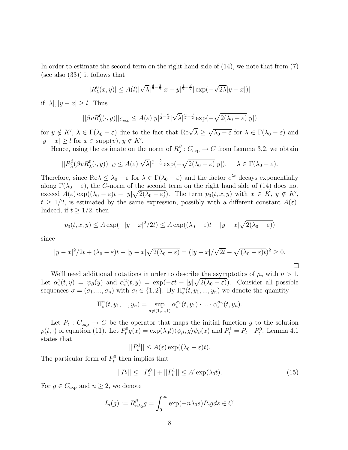In order to estimate the second term on the right hand side of (14), we note that from (7) (see also (33)) it follows that

$$
|R_{\lambda}^{0}(x, y)| \leq A(l)|\sqrt{\lambda}|^{\frac{d}{2}-\frac{3}{2}}|x-y|^{\frac{1}{2}-\frac{d}{2}}|\exp(-\sqrt{2\lambda}|y-x|)|
$$

if  $|\lambda|, |y - x| \geq l$ . Thus

$$
||\beta v R_{\lambda}^{0}(\cdot,y)||_{C_{\exp}} \leq A(\varepsilon)|y|^{\frac{1}{2}-\frac{d}{2}}|\sqrt{\lambda}|^{\frac{d}{2}-\frac{3}{2}}\exp(-\sqrt{2(\lambda_0-\varepsilon)}|y|)
$$

for  $y \notin K'$ ,  $\lambda \in \Gamma(\lambda_0 - \varepsilon)$  due to the fact that  $\text{Re}\sqrt{\lambda} \geq \sqrt{\lambda_0 - \varepsilon}$  for  $\lambda \in \Gamma(\lambda_0 - \varepsilon)$  and  $|y - x| \geq l$  for  $x \in \text{supp}(v)$ ,  $y \notin K'$ .

Hence, using the estimate on the norm of  $R^{\beta}_{\lambda}: C_{\exp} \to C$  from Lemma 3.2, we obtain

$$
||R_{\lambda}^{\beta}(\beta v R_{\lambda}^{0}(\cdot,y))||_{C} \leq A(\varepsilon)|\sqrt{\lambda}|^{\frac{d}{2}-\frac{5}{2}}\exp(-\sqrt{2(\lambda_{0}-\varepsilon)}|y|), \quad \lambda \in \Gamma(\lambda_{0}-\varepsilon).
$$

Therefore, since  $\text{Re}\lambda \leq \lambda_0 - \varepsilon$  for  $\lambda \in \Gamma(\lambda_0 - \varepsilon)$  and the factor  $e^{\lambda t}$  decays exponentially along  $\Gamma(\lambda_0 - \varepsilon)$ , the C-norm of the second term on the right hand side of (14) does not exceed  $A(\varepsilon) \exp((\lambda_0 - \varepsilon)t - |y|\sqrt{2(\lambda_0 - \varepsilon)})$ . The term  $p_0(t, x, y)$  with  $x \in K$ ,  $y \notin K'$ ,  $t \geq 1/2$ , is estimated by the same expression, possibly with a different constant  $A(\varepsilon)$ . Indeed, if  $t \geq 1/2$ , then

$$
p_0(t, x, y) \le A \exp(-|y - x|^2/2t) \le A \exp((\lambda_0 - \varepsilon)t - |y - x|\sqrt{2(\lambda_0 - \varepsilon)})
$$

since

$$
|y-x|^2/2t+(\lambda_0-\varepsilon)t-|y-x|\sqrt{2(\lambda_0-\varepsilon)}=(|y-x|/\sqrt{2t}-\sqrt{(\lambda_0-\varepsilon)t})^2\geq 0.
$$

We'll need additional notations in order to describe the asymptotics of  $\rho_n$  with  $n > 1$ . Let  $\alpha_{\varepsilon}^1(t, y) = \psi_{\beta}(y)$  and  $\alpha_{\varepsilon}^2(t, y) = \exp(-\varepsilon t - |y|\sqrt{2(\lambda_0 - \varepsilon)})$ . Consider all possible sequences  $\sigma = (\sigma_1, ..., \sigma_n)$  with  $\sigma_i \in \{1, 2\}$ . By  $\Pi_{\varepsilon}^n(t, y_1, ..., y_n)$  we denote the quantity

$$
\Pi_{\varepsilon}^{n}(t, y_{1}, ..., y_{n}) = \sup_{\sigma \neq (1, ..., 1)} \alpha_{\varepsilon}^{\sigma_{1}}(t, y_{1}) \cdot ... \cdot \alpha_{\varepsilon}^{\sigma_{n}}(t, y_{n}).
$$

Let  $P_t: C_{\text{exp}} \to C$  be the operator that maps the initial function g to the solution  $\rho(t, \cdot)$  of equation (11). Let  $P_t^0 g(x) = \exp(\lambda_0 t) \langle \psi_\beta, g \rangle \psi_\beta(x)$  and  $P_t^1 = P_t - P_t^0$ . Lemma 4.1 states that

$$
||P_t^1|| \le A(\varepsilon) \exp((\lambda_0 - \varepsilon)t).
$$

The particular form of  $P_t^0$  then implies that

$$
||P_t|| \le ||P_t^0|| + ||P_t^1|| \le A' \exp(\lambda_0 t). \tag{15}
$$

 $\Box$ 

For  $g \in C_{\text{exp}}$  and  $n \geq 2$ , we denote

$$
I_n(g) := R_{n\lambda_0}^{\beta} g = \int_0^{\infty} \exp(-n\lambda_0 s) P_s g ds \in C.
$$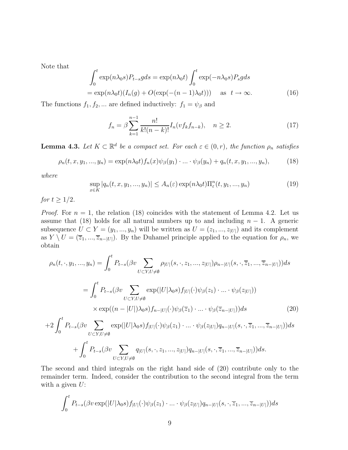Note that

$$
\int_0^t \exp(n\lambda_0 s) P_{t-s}g ds = \exp(n\lambda_0 t) \int_0^t \exp(-n\lambda_0 s) P_s g ds
$$
  
=  $\exp(n\lambda_0 t) (I_n(g) + O(\exp(-(n-1)\lambda_0 t)))$  as  $t \to \infty$ . (16)

The functions  $f_1, f_2, \dots$  are defined inductively:  $f_1 = \psi_\beta$  and

$$
f_n = \beta \sum_{k=1}^{n-1} \frac{n!}{k!(n-k)!} I_n(vf_kf_{n-k}), \quad n \ge 2.
$$
 (17)

**Lemma 4.3.** Let  $K \subset \mathbb{R}^d$  be a compact set. For each  $\varepsilon \in (0, r)$ , the function  $\rho_n$  satisfies

$$
\rho_n(t, x, y_1, ..., y_n) = \exp(n\lambda_0 t) f_n(x) \psi_\beta(y_1) \cdot ... \cdot \psi_\beta(y_n) + q_n(t, x, y_1, ..., y_n), \tag{18}
$$

where

$$
\sup_{x \in K} |q_n(t, x, y_1, \dots, y_n)| \le A_n(\varepsilon) \exp(n\lambda_0 t) \Pi_{\varepsilon}^n(t, y_1, \dots, y_n)
$$
\n(19)

for  $t \geq 1/2$ .

*Proof.* For  $n = 1$ , the relation (18) coincides with the statement of Lemma 4.2. Let us assume that (18) holds for all natural numbers up to and including  $n-1$ . A generic subsequence  $U \subset Y = (y_1, ..., y_n)$  will be written as  $U = (z_1, ..., z_{|U|})$  and its complement as  $Y \setminus U = (\overline{z}_1, ..., \overline{z}_{n-|U|})$ . By the Duhamel principle applied to the equation for  $\rho_n$ , we obtain

$$
\rho_n(t, \cdot, y_1, \ldots, y_n) = \int_0^t P_{t-s}(\beta v \sum_{U \subset Y, U \neq \emptyset} \rho_{|U|}(s, \cdot, z_1, \ldots, z_{|U|}) \rho_{n-|U|}(s, \cdot, \overline{z}_1, \ldots, \overline{z}_{n-|U|})) ds
$$
  
\n
$$
= \int_0^t P_{t-s}(\beta v \sum_{U \subset Y, U \neq \emptyset} \exp(|U|\lambda_0 s) f_{|U|}(\cdot) \psi_\beta(z_1) \cdot \ldots \cdot \psi_\beta(z_{|U|}))
$$
  
\n
$$
\times \exp((n-|U|)\lambda_0 s) f_{n-|U|}(\cdot) \psi_\beta(\overline{z}_1) \cdot \ldots \cdot \psi_\beta(\overline{z}_{n-|U|})) ds
$$
  
\n
$$
+ 2 \int_0^t P_{t-s}(\beta v \sum_{U \subset Y, U \neq \emptyset} \exp(|U|\lambda_0 s) f_{|U|}(\cdot) \psi_\beta(z_1) \cdot \ldots \cdot \psi_\beta(z_{|U|}) q_{n-|U|}(s, \cdot, \overline{z}_1, \ldots, \overline{z}_{n-|U|})) ds
$$
  
\n
$$
+ \int_0^t P_{t-s}(\beta v \sum_{U \subset Y, U \neq \emptyset} q_{|U|}(s, \cdot, z_1, \ldots, z_{|U|}) q_{n-|U|}(s, \cdot, \overline{z}_1, \ldots, \overline{z}_{n-|U|})) ds.
$$
 (20)

The second and third integrals on the right hand side of (20) contribute only to the remainder term. Indeed, consider the contribution to the second integral from the term with a given  $U$ :

 $U\subset Y, U\neq\emptyset$ 

$$
\int_0^t P_{t-s}(\beta v \exp(|U|\lambda_0 s) f_{|U|}(\cdot)\psi_\beta(z_1)\cdot\ldots\cdot\psi_\beta(z_{|U|}) q_{n-|U|}(s,\cdot,\overline{z}_1,\ldots,\overline{z}_{n-|U|}))ds
$$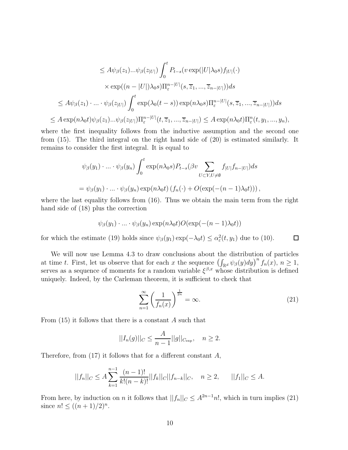$$
\leq A\psi_{\beta}(z_1)...\psi_{\beta}(z_{|U|})\int_0^t P_{t-s}(v \exp(|U|\lambda_0 s) f_{|U|}(\cdot)
$$
  

$$
\times \exp((n-|U|)\lambda_0 s)\Pi_{\varepsilon}^{n-|U|}(s, \overline{z}_1, ..., \overline{z}_{n-|U|}))ds
$$
  

$$
\leq A\psi_{\beta}(z_1) \cdot ... \cdot \psi_{\beta}(z_{|U|})\int_0^t \exp(\lambda_0(t-s)) \exp(n\lambda_0 s)\Pi_{\varepsilon}^{n-|U|}(s, \overline{z}_1, ..., \overline{z}_{n-|U|}))ds
$$
  

$$
\leq A \exp(n\lambda_0 t)\psi_{\beta}(z_1)...\psi_{\beta}(z_{|U|})\Pi_{\varepsilon}^{n-|U|}(t, \overline{z}_1, ..., \overline{z}_{n-|U|}) \leq A \exp(n\lambda_0 t)\Pi_{\varepsilon}^{n}(t, y_1, ..., y_n),
$$

where the first inequality follows from the inductive assumption and the second one from (15). The third integral on the right hand side of (20) is estimated similarly. It remains to consider the first integral. It is equal to

$$
\psi_{\beta}(y_1) \cdot \ldots \cdot \psi_{\beta}(y_n) \int_0^t \exp(n\lambda_0 s) P_{t-s}(\beta v \sum_{U \subset Y, U \neq \emptyset} f_{|U|} f_{n-|U|}) ds
$$
  
=  $\psi_{\beta}(y_1) \cdot \ldots \cdot \psi_{\beta}(y_n) \exp(n\lambda_0 t) (f_n(\cdot) + O(\exp(-(n-1)\lambda_0 t)))$ ,

where the last equality follows from  $(16)$ . Thus we obtain the main term from the right hand side of (18) plus the correction

$$
\psi_{\beta}(y_1)\cdot\ldots\cdot\psi_{\beta}(y_n)\exp(n\lambda_0 t)O(\exp(-(n-1)\lambda_0 t))
$$

for which the estimate (19) holds since  $\psi_{\beta}(y_1) \exp(-\lambda_0 t) \leq \alpha_{\varepsilon}^2(t, y_1)$  due to (10).

We will now use Lemma 4.3 to draw conclusions about the distribution of particles at time t. First, let us observe that for each x the sequence  $\left(\int_{\mathbb{R}^d} \psi_\beta(y) dy\right)^n f_n(x), n \geq 1$ , serves as a sequence of moments for a random variable  $\xi^{\beta,x}$  whose distribution is defined uniquely. Indeed, by the Carleman theorem, it is sufficient to check that

$$
\sum_{n=1}^{\infty} \left( \frac{1}{f_n(x)} \right)^{\frac{1}{2n}} = \infty.
$$
 (21)

 $\Box$ 

From  $(15)$  it follows that there is a constant A such that

$$
||I_n(g)||_C \leq \frac{A}{n-1}||g||_{C_{\exp}}, \quad n \geq 2.
$$

Therefore, from  $(17)$  it follows that for a different constant A,

$$
||f_n||_C \le A \sum_{k=1}^{n-1} \frac{(n-1)!}{k!(n-k)!} ||f_k||_C ||f_{n-k}||_C, \quad n \ge 2, \qquad ||f_1||_C \le A.
$$

From here, by induction on n it follows that  $||f_n||_C \leq A^{2n-1}n!$ , which in turn implies (21) since  $n! \leq ((n+1)/2)^n$ .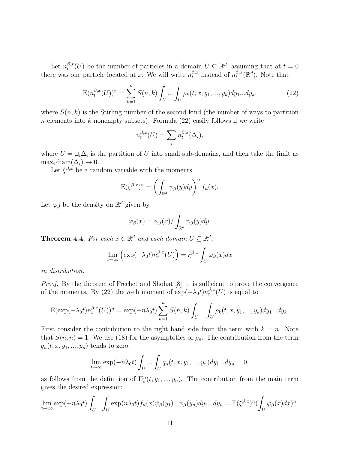Let  $n_t^{\beta,x}(U)$  be the number of particles in a domain  $U \subseteq \mathbb{R}^d$ , assuming that at  $t = 0$ there was one particle located at x. We will write  $n_t^{\beta,x}$  instead of  $n_t^{\beta,x}(\mathbb{R}^d)$ . Note that

$$
E(n_t^{\beta,x}(U))^n = \sum_{k=1}^n S(n,k) \int_U \dots \int_U \rho_k(t,x,y_1,\dots,y_k) dy_1...dy_k,
$$
\n(22)

where  $S(n, k)$  is the Stirling number of the second kind (the number of ways to partition n elements into k nonempty subsets). Formula  $(22)$  easily follows if we write

$$
n_t^{\beta,x}(U) = \sum_i n_t^{\beta,x}(\Delta_i),
$$

where  $U = \bigcup_i \Delta_i$  is the partition of U into small sub-domains, and then take the limit as  $\max_i \text{diam}(\Delta_i) \to 0.$ 

Let  $\xi^{\beta,x}$  be a random variable with the moments

$$
E(\xi^{\beta,x})^n = \left(\int_{\mathbb{R}^d} \psi_{\beta}(y) dy\right)^n f_n(x).
$$

Let  $\varphi_\beta$  be the density on  $\mathbb{R}^d$  given by

$$
\varphi_{\beta}(x) = \psi_{\beta}(x) / \int_{\mathbb{R}^d} \psi_{\beta}(y) dy.
$$

**Theorem 4.4.** For each  $x \in \mathbb{R}^d$  and each domain  $U \subseteq \mathbb{R}^d$ ,

$$
\lim_{t \to \infty} \left( \exp(-\lambda_0 t) n_t^{\beta, x}(U) \right) = \xi^{\beta, x} \int_U \varphi_\beta(x) dx
$$

in distribution.

Proof. By the theorem of Frechet and Shohat [8], it is sufficient to prove the convergence of the moments. By (22) the *n*-th moment of  $\exp(-\lambda_0 t) n_t^{\beta,x}(U)$  is equal to

$$
E(\exp(-\lambda_0 t)n_t^{\beta,x}(U))^n = \exp(-n\lambda_0 t) \sum_{k=1}^n S(n,k) \int_U \dots \int_U \rho_k(t,x,y_1,\dots,y_k) dy_1 \dots dy_k.
$$

First consider the contribution to the right hand side from the term with  $k = n$ . Note that  $S(n, n) = 1$ . We use (18) for the asymptotics of  $\rho_n$ . The contribution from the term  $q_n(t, x, y_1, \ldots, y_n)$  tends to zero:

$$
\lim_{t \to \infty} \exp(-n\lambda_0 t) \int_U \dots \int_U q_n(t, x, y_1, \dots, y_n) dy_1 \dots dy_n = 0,
$$

as follows from the definition of  $\Pi_{\varepsilon}^n(t, y_1, ..., y_n)$ . The contribution from the main term gives the desired expression:

$$
\lim_{t \to \infty} \exp(-n\lambda_0 t) \int_U \left[ \sum_{U} \exp(n\lambda_0 t) f_n(x) \psi_\beta(y_1) \dots \psi_\beta(y_n) dy_1 \dots dy_n \right] = \mathbb{E}(\xi^{\beta,x})^n \left( \int_U \varphi_\beta(x) dx \right)^n.
$$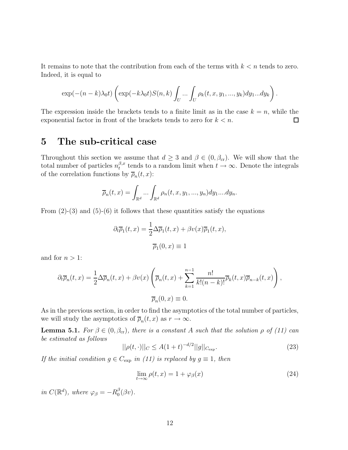It remains to note that the contribution from each of the terms with  $k < n$  tends to zero. Indeed, it is equal to

$$
\exp(-(n-k)\lambda_0 t)\left(\exp(-k\lambda_0 t)S(n,k)\int_U\ldots\int_U\rho_k(t,x,y_1,\ldots,y_k)dy_1\ldots dy_k\right).
$$

The expression inside the brackets tends to a finite limit as in the case  $k = n$ , while the exponential factor in front of the brackets tends to zero for  $k < n$ . 口

### **5 The sub-critical case**

Throughout this section we assume that  $d \geq 3$  and  $\beta \in (0, \beta_{cr})$ . We will show that the total number of particles  $n_t^{\beta,x}$  tends to a random limit when  $t \to \infty$ . Denote the integrals of the correlation functions by  $\overline{\rho}_n(t,x)$ :

$$
\overline{\rho}_n(t,x) = \int_{\mathbb{R}^d} \dots \int_{\mathbb{R}^d} \rho_n(t,x,y_1,...,y_n) dy_1....dy_n.
$$

From  $(2)-(3)$  and  $(5)-(6)$  it follows that these quantities satisfy the equations

$$
\partial_t \overline{\rho}_1(t, x) = \frac{1}{2} \Delta \overline{\rho}_1(t, x) + \beta v(x) \overline{\rho}_1(t, x),
$$

$$
\overline{\rho}_1(0, x) \equiv 1
$$

and for  $n > 1$ :

$$
\partial_t \overline{\rho}_n(t,x) = \frac{1}{2} \Delta \overline{\rho}_n(t,x) + \beta v(x) \left( \overline{\rho}_n(t,x) + \sum_{k=1}^{n-1} \frac{n!}{k!(n-k)!} \overline{\rho}_k(t,x) \overline{\rho}_{n-k}(t,x) \right),
$$

$$
\overline{\rho}_n(0,x) \equiv 0.
$$

As in the previous section, in order to find the asymptotics of the total number of particles, we will study the asymptotics of  $\overline{\rho}_n(t,x)$  as  $r \to \infty$ .

**Lemma 5.1.** For  $\beta \in (0, \beta_{cr})$ , there is a constant A such that the solution  $\rho$  of (11) can be estimated as follows

$$
||\rho(t,\cdot)||_C \le A(1+t)^{-d/2}||g||_{C_{\exp}}.\tag{23}
$$

If the initial condition  $g \in C_{\text{exp}}$  in (11) is replaced by  $g \equiv 1$ , then

$$
\lim_{t \to \infty} \rho(t, x) = 1 + \varphi_{\beta}(x) \tag{24}
$$

in  $C(\mathbb{R}^d)$ , where  $\varphi_\beta = -R_0^\beta(\beta v)$ .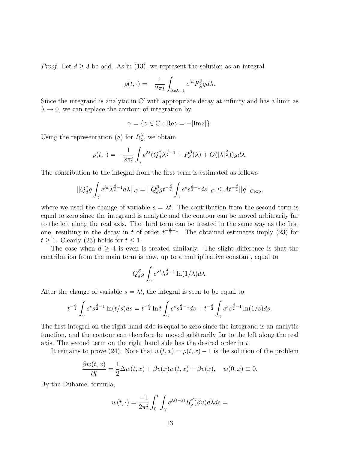*Proof.* Let  $d \geq 3$  be odd. As in (13), we represent the solution as an integral

$$
\rho(t,\cdot)=-\frac{1}{2\pi i}\int_{{\rm Re}\lambda=1}e^{\lambda t}R_{\lambda}^{\beta}gd\lambda.
$$

Since the integrand is analytic in  $\mathbb{C}'$  with appropriate decay at infinity and has a limit as  $\lambda \rightarrow 0$ , we can replace the contour of integration by

$$
\gamma = \{ z \in \mathbb{C} : \text{Re} z = -|\text{Im} z| \}.
$$

Using the representation (8) for  $R_{\lambda}^{\beta}$ , we obtain

$$
\rho(t,\cdot) = -\frac{1}{2\pi i} \int_{\gamma} e^{\lambda t} (Q_d^{\beta} \lambda^{\frac{d}{2}-1} + P_d^{\beta}(\lambda) + O(|\lambda|^{\frac{d}{2}})) g d\lambda.
$$

The contribution to the integral from the first term is estimated as follows

$$
||Q_d^{\beta}g\int_{\gamma}e^{\lambda t}\lambda^{\frac{d}{2}-1}d\lambda||_C=||Q_d^{\beta}gt^{-\frac{d}{2}}\int_{\gamma}e^s s^{\frac{d}{2}-1}ds||_C\leq At^{-\frac{d}{2}}||g||_{C\text{exp}},
$$

where we used the change of variable  $s = \lambda t$ . The contribution from the second term is equal to zero since the integrand is analytic and the contour can be moved arbitrarily far to the left along the real axis. The third term can be treated in the same way as the first one, resulting in the decay in t of order  $t^{-\frac{d}{2}-1}$ . The obtained estimates imply (23) for  $t \geq 1$ . Clearly (23) holds for  $t \leq 1$ .

The case when  $d \geq 4$  is even is treated similarly. The slight difference is that the contribution from the main term is now, up to a multiplicative constant, equal to

$$
Q_d^{\beta} g \int_{\gamma} e^{\lambda t} \lambda^{\frac{d}{2}-1} \ln(1/\lambda) d\lambda.
$$

After the change of variable  $s = \lambda t$ , the integral is seen to be equal to

$$
t^{-\frac{d}{2}} \int_{\gamma} e^s s^{\frac{d}{2}-1} \ln(t/s) ds = t^{-\frac{d}{2}} \ln t \int_{\gamma} e^s s^{\frac{d}{2}-1} ds + t^{-\frac{d}{2}} \int_{\gamma} e^s s^{\frac{d}{2}-1} \ln(1/s) ds.
$$

The first integral on the right hand side is equal to zero since the integrand is an analytic function, and the contour can therefore be moved arbitrarily far to the left along the real axis. The second term on the right hand side has the desired order in t.

It remains to prove (24). Note that  $w(t, x) = \rho(t, x) - 1$  is the solution of the problem

$$
\frac{\partial w(t,x)}{\partial t} = \frac{1}{2}\Delta w(t,x) + \beta v(x)w(t,x) + \beta v(x), \quad w(0,x) \equiv 0.
$$

By the Duhamel formula,

$$
w(t,\cdot) = \frac{-1}{2\pi i} \int_0^t \int_\gamma e^{\lambda(t-s)} R_\lambda^\beta(\beta v) d\lambda ds =
$$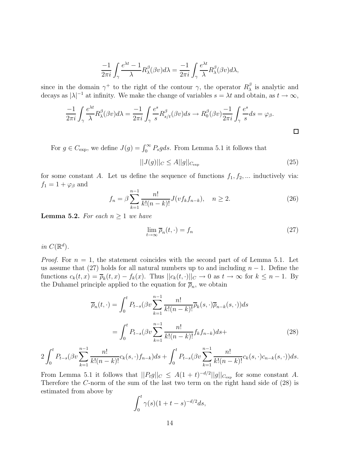$$
\frac{-1}{2\pi i} \int_{\gamma} \frac{e^{\lambda t} - 1}{\lambda} R^{\beta}_{\lambda}(\beta v) d\lambda = \frac{-1}{2\pi i} \int_{\gamma} \frac{e^{\lambda t}}{\lambda} R^{\beta}_{\lambda}(\beta v) d\lambda,
$$

since in the domain  $\gamma^+$  to the right of the contour  $\gamma$ , the operator  $R_\lambda^\beta$  is analytic and decays as  $|\lambda|^{-1}$  at infinity. We make the change of variables  $s = \lambda t$  and obtain, as  $t \to \infty$ ,

$$
\frac{-1}{2\pi i} \int_{\gamma} \frac{e^{\lambda t}}{\lambda} R^{\beta}_{\lambda}(\beta v) d\lambda = \frac{-1}{2\pi i} \int_{\gamma} \frac{e^s}{s} R^{\beta}_{s/t}(\beta v) ds \to R^{\beta}_{0}(\beta v) \frac{-1}{2\pi i} \int_{\gamma} \frac{e^s}{s} ds = \varphi_{\beta}.
$$

For  $g \in C_{\text{exp}}$ , we define  $J(g) = \int_0^\infty P_s g ds$ . From Lemma 5.1 it follows that

$$
||J(g)||_{C} \le A||g||_{C_{\exp}}
$$
\n(25)

for some constant A. Let us define the sequence of functions  $f_1, f_2, \dots$  inductively via:  $f_1 = 1 + \varphi_\beta$  and

$$
f_n = \beta \sum_{k=1}^{n-1} \frac{n!}{k!(n-k)!} J(vf_k f_{n-k}), \quad n \ge 2.
$$
 (26)

**Lemma 5.2.** For each  $n \geq 1$  we have

$$
\lim_{t \to \infty} \overline{\rho}_n(t, \cdot) = f_n \tag{27}
$$

in  $C(\mathbb{R}^d)$ .

*Proof.* For  $n = 1$ , the statement coincides with the second part of of Lemma 5.1. Let us assume that (27) holds for all natural numbers up to and including  $n-1$ . Define the functions  $c_k(t, x) = \overline{\rho}_k(t, x) - f_k(x)$ . Thus  $||c_k(t, \cdot)||_C \to 0$  as  $t \to \infty$  for  $k \leq n - 1$ . By the Duhamel principle applied to the equation for  $\bar{\rho}_n$ , we obtain

$$
\overline{\rho}_n(t,\cdot) = \int_0^t P_{t-s}(\beta v \sum_{k=1}^{n-1} \frac{n!}{k!(n-k)!} \overline{\rho}_k(s,\cdot) \overline{\rho}_{n-k}(s,\cdot)) ds
$$

$$
= \int_0^t P_{t-s}(\beta v \sum_{k=1}^{n-1} \frac{n!}{k!(n-k)!} f_k f_{n-k}) ds +
$$
(28)

$$
2\int_0^t P_{t-s}(\beta v \sum_{k=1}^{n-1} \frac{n!}{k!(n-k)!} c_k(s,\cdot) f_{n-k}) ds + \int_0^t P_{t-s}(\beta v \sum_{k=1}^{n-1} \frac{n!}{k!(n-k)!} c_k(s,\cdot) c_{n-k}(s,\cdot)) ds.
$$

From Lemma 5.1 it follows that  $||P_t g||_C \leq A(1+t)^{-d/2}||g||_{C_{\text{exp}}}$  for some constant A. Therefore the C-norm of the sum of the last two term on the right hand side of (28) is estimated from above by

$$
\int_0^t \gamma(s)(1+t-s)^{-d/2}ds,
$$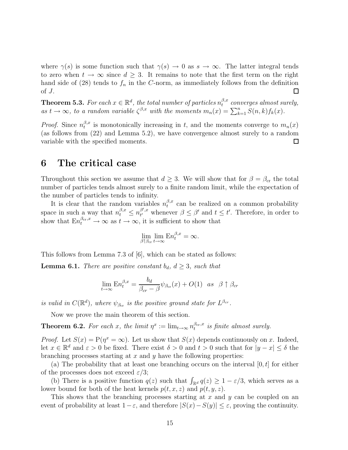where  $\gamma(s)$  is some function such that  $\gamma(s) \to 0$  as  $s \to \infty$ . The latter integral tends to zero when  $t \to \infty$  since  $d \geq 3$ . It remains to note that the first term on the right hand side of (28) tends to  $f_n$  in the C-norm, as immediately follows from the definition of J.  $\Box$ 

**Theorem 5.3.** For each  $x \in \mathbb{R}^d$ , the total number of particles  $n_t^{\beta,x}$  converges almost surely, as  $t \to \infty$ , to a random variable  $\zeta^{\beta,x}$  with the moments  $m_n(x) = \sum_{k=1}^n S(n,k) f_k(x)$ .

*Proof.* Since  $n_t^{\beta,x}$  is monotonically increasing in t, and the moments converge to  $m_n(x)$ (as follows from (22) and Lemma 5.2), we have convergence almost surely to a random variable with the specified moments. 囗

#### **6 The critical case**

Throughout this section we assume that  $d \geq 3$ . We will show that for  $\beta = \beta_{cr}$  the total number of particles tends almost surely to a finite random limit, while the expectation of the number of particles tends to infinity.

It is clear that the random variables  $n_t^{\beta,x}$  can be realized on a common probability space in such a way that  $n_t^{\beta,x} \leq n_{t'}^{\beta',x}$  $t^{(s',x)}_{t'}$  whenever  $\beta \leq \beta'$  and  $t \leq t'$ . Therefore, in order to show that  $En_t^{\beta_{cr},x} \to \infty$  as  $t \to \infty$ , it is sufficient to show that

$$
\lim_{\beta \uparrow \beta_{\rm cr}} \lim_{t \to \infty} \mathbf{E} n_t^{\beta, x} = \infty.
$$

This follows from Lemma 7.3 of [6], which can be stated as follows:

**Lemma 6.1.** There are positive constant  $b_d$ ,  $d \geq 3$ , such that

$$
\lim_{t \to \infty} \mathbf{E} n_t^{\beta, x} = \frac{b_d}{\beta_{cr} - \beta} \psi_{\beta_{cr}}(x) + O(1) \quad \text{as} \quad \beta \uparrow \beta_{cr}
$$

is valid in  $C(\mathbb{R}^d)$ , where  $\psi_{\beta_{cr}}$  is the positive ground state for  $L^{\beta_{cr}}$ .

Now we prove the main theorem of this section.

**Theorem 6.2.** For each x, the limit  $\eta^x := \lim_{t \to \infty} n_t^{\beta_{\text{cr}},x}$  is finite almost surely.

*Proof.* Let  $S(x) = P(\eta^x = \infty)$ . Let us show that  $S(x)$  depends continuously on x. Indeed, let  $x \in \mathbb{R}^d$  and  $\varepsilon > 0$  be fixed. There exist  $\delta > 0$  and  $t > 0$  such that for  $|y - x| \leq \delta$  the branching processes starting at  $x$  and  $y$  have the following properties:

(a) The probability that at least one branching occurs on the interval  $[0, t]$  for either of the processes does not exceed  $\varepsilon/3$ ;

(b) There is a positive function  $q(z)$  such that  $\int_{\mathbb{R}^d} q(z) \geq 1 - \varepsilon/3$ , which serves as a lower bound for both of the heat kernels  $p(t, x, z)$  and  $p(t, y, z)$ .

This shows that the branching processes starting at  $x$  and  $y$  can be coupled on an event of probability at least  $1-\varepsilon$ , and therefore  $|S(x)-S(y)| \leq \varepsilon$ , proving the continuity.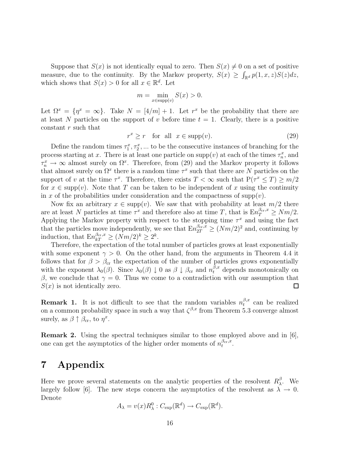Suppose that  $S(x)$  is not identically equal to zero. Then  $S(x) \neq 0$  on a set of positive measure, due to the continuity. By the Markov property,  $S(x) \geq \int_{\mathbb{R}^d} p(1, x, z) S(z) dz$ , which shows that  $S(x) > 0$  for all  $x \in \mathbb{R}^d$ . Let

$$
m = \min_{x \in \text{supp}(v)} S(x) > 0.
$$

Let  $\Omega^x = \{\eta^x = \infty\}$ . Take  $N = [4/m] + 1$ . Let  $r^x$  be the probability that there are at least N particles on the support of v before time  $t = 1$ . Clearly, there is a positive constant r such that

$$
r^x \ge r \quad \text{for all} \ \ x \in \text{supp}(v). \tag{29}
$$

Define the random times  $\tau_1^x, \tau_2^x, \ldots$  to be the consecutive instances of branching for the process starting at x. There is at least one particle on  $\text{supp}(v)$  at each of the times  $\tau_n^x$ , and  $\tau_n^x \to \infty$  almost surely on  $\Omega^x$ . Therefore, from (29) and the Markov property it follows that almost surely on  $\Omega^x$  there is a random time  $\tau^x$  such that there are N particles on the support of v at the time  $\tau^x$ . Therefore, there exists  $T < \infty$  such that  $P(\tau^x \leq T) \geq m/2$ for  $x \in \text{supp}(v)$ . Note that T can be taken to be independent of x using the continuity in x of the probabilities under consideration and the compactness of supp(v).

Now fix an arbitrary  $x \in \text{supp}(v)$ . We saw that with probability at least  $m/2$  there are at least N particles at time  $\tau^x$  and therefore also at time T, that is  $En_{\tau}^{\beta_{\text{cr}},x} \ge Nm/2$ . Applying the Markov property with respect to the stopping time  $\tau^x$  and using the fact that the particles move independently, we see that  $\text{En}_{2T}^{\beta_{\text{cr}},x} \geq (Nm/2)^2$  and, continuing by induction, that  $\text{En}_{kT}^{\beta_{\text{cr}},x} \geq (Nm/2)^k \geq 2^k$ .

Therefore, the expectation of the total number of particles grows at least exponentially with some exponent  $\gamma > 0$ . On the other hand, from the arguments in Theorem 4.4 it follows that for  $\beta > \beta_{cr}$  the expectation of the number of particles grows exponentially with the exponent  $\lambda_0(\beta)$ . Since  $\lambda_0(\beta) \downarrow 0$  as  $\beta \downarrow \beta_{cr}$  and  $n_t^{\beta,x}$  depends monotonically on β, we conclude that  $γ = 0$ . Thus we come to a contradiction with our assumption that  $S(x)$  is not identically zero.  $\Box$ 

**Remark 1.** It is not difficult to see that the random variables  $n_t^{\beta,x}$  can be realized on a common probability space in such a way that  $\zeta^{\beta,x}$  from Theorem 5.3 converge almost surely, as  $\beta \uparrow \beta_{cr}$ , to  $\eta^x$ .

**Remark 2.** Using the spectral techniques similar to those employed above and in [6], one can get the asymptotics of the higher order moments of  $n_t^{\beta_{cr},x}$ .

## **7 Appendix**

Here we prove several statements on the analytic properties of the resolvent  $R^{\beta}_{\lambda}$ . We largely follow [6]. The new steps concern the asymptotics of the resolvent as  $\lambda \to 0$ . Denote

$$
A_{\lambda} = v(x)R_{\lambda}^{0} : C_{\exp}(\mathbb{R}^{d}) \to C_{\exp}(\mathbb{R}^{d}).
$$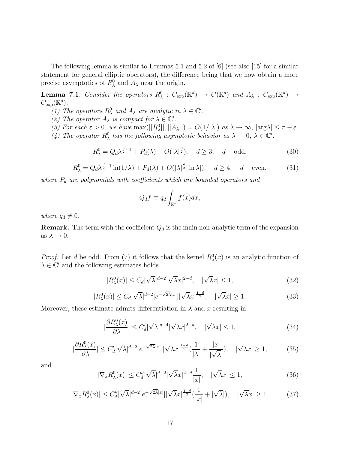The following lemma is similar to Lemmas 5.1 and 5.2 of [6] (see also [15] for a similar statement for general elliptic operators), the difference being that we now obtain a more precise asymptotics of  $R_{\lambda}^0$  and  $A_{\lambda}$  near the origin.

**Lemma 7.1.** Consider the operators  $R^0_\lambda$  :  $C_{\text{exp}}(\mathbb{R}^d) \rightarrow C(\mathbb{R}^d)$  and  $A_\lambda$  :  $C_{\text{exp}}(\mathbb{R}^d) \rightarrow$  $C_{\exp}(\mathbb{R}^d).$ 

- (1) The operators  $R^0_\lambda$  and  $A_\lambda$  are analytic in  $\lambda \in \mathbb{C}'$ .
- (2) The operator  $A_{\lambda}$  is compact for  $\lambda \in \mathbb{C}'$ .

(3) For each  $\varepsilon > 0$ , we have  $\max(||R_\lambda^0||, ||A_\lambda||) = O(1/|\lambda|)$  as  $\lambda \to \infty$ ,  $|\arg \lambda| \leq \pi - \varepsilon$ .

(4) The operator  $R^0_\lambda$  has the following asymptotic behavior as  $\lambda \to 0$ ,  $\lambda \in \mathbb{C}'$ :

$$
R_{\lambda}^{0} = Q_d \lambda^{\frac{d}{2}-1} + P_d(\lambda) + O(|\lambda|^{\frac{d}{2}}), \quad d \ge 3, \quad d - \text{odd}, \tag{30}
$$

$$
R_{\lambda}^{0} = Q_d \lambda^{\frac{d}{2}-1} \ln(1/\lambda) + P_d(\lambda) + O(|\lambda|^{\frac{d}{2}} |\ln \lambda|), \quad d \ge 4, \quad d - \text{even}, \tag{31}
$$

where  $P_d$  are polynomials with coefficients which are bounded operators and

$$
Q_d f \equiv q_d \int_{\mathbb{R}^d} f(x) dx,
$$

where  $q_d \neq 0$ .

**Remark.** The term with the coefficient  $Q_d$  is the main non-analytic term of the expansion as  $\lambda \to 0$ .

*Proof.* Let d be odd. From (7) it follows that the kernel  $R^0_\lambda(x)$  is an analytic function of  $\lambda \in \mathbb{C}'$  and the following estimates holds

$$
|R_{\lambda}^{0}(x)| \leq C_{d} |\sqrt{\lambda}|^{d-2} |\sqrt{\lambda}x|^{2-d}, \quad |\sqrt{\lambda}x| \leq 1,
$$
\n(32)

$$
|R^0_\lambda(x)| \le C_d |\sqrt{\lambda}|^{d-2} |e^{-\sqrt{2\lambda}|x|} ||\sqrt{\lambda}x|^{\frac{1-d}{2}}, \quad |\sqrt{\lambda}x| \ge 1. \tag{33}
$$

Moreover, these estimate admits differentiation in  $\lambda$  and x resulting in

$$
|\frac{\partial R^0_\lambda(x)}{\partial \lambda}| \le C'_d |\sqrt{\lambda}|^{d-4} |\sqrt{\lambda}x|^{2-d}, \quad |\sqrt{\lambda}x| \le 1,
$$
\n(34)

$$
\left|\frac{\partial R^0_\lambda(x)}{\partial \lambda}\right| \le C'_d |\sqrt{\lambda}|^{d-2} |e^{-\sqrt{2\lambda}|x|} | |\sqrt{\lambda}x|^{\frac{1-d}{2}} \left(\frac{1}{|\lambda|} + \frac{|x|}{|\sqrt{\lambda}|}\right), \quad |\sqrt{\lambda}x| \ge 1,\tag{35}
$$

and

$$
|\nabla_x R_\lambda^0(x)| \le C_d'' |\sqrt{\lambda}|^{d-2} |\sqrt{\lambda}x|^{2-d} \frac{1}{|x|}, \quad |\sqrt{\lambda}x| \le 1,\tag{36}
$$

$$
|\nabla_x R_\lambda^0(x)| \le C_d'' |\sqrt{\lambda}|^{d-2} |e^{-\sqrt{2\lambda}|x|} |\sqrt{\lambda}x|^{\frac{1-d}{2}} (\frac{1}{|x|} + |\sqrt{\lambda}|), \quad |\sqrt{\lambda}x| \ge 1. \tag{37}
$$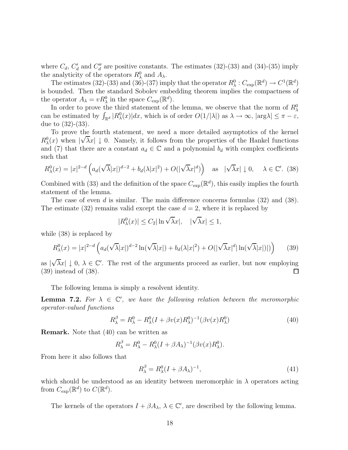where  $C_d$ ,  $C'_d$  and  $C''_d$  are positive constants. The estimates (32)-(33) and (34)-(35) imply the analyticity of the operators  $R^0_\lambda$  and  $A_\lambda$ .

The estimates (32)-(33) and (36)-(37) imply that the operator  $R^0_\lambda: C_{\text{exp}}(\mathbb{R}^d) \to C^1(\mathbb{R}^d)$ is bounded. Then the standard Sobolev embedding theorem implies the compactness of the operator  $A_{\lambda} = v R_{\lambda}^0$  in the space  $C_{\text{exp}}(\mathbb{R}^d)$ .

In order to prove the third statement of the lemma, we observe that the norm of  $R_\lambda^0$ can be estimated by  $\int_{\mathbb{R}^d} |R_{\lambda}^0(x)| dx$ , which is of order  $O(1/|\lambda|)$  as  $\lambda \to \infty$ ,  $|\arg \lambda| \leq \pi - \varepsilon$ , due to (32)-(33).

To prove the fourth statement, we need a more detailed asymptotics of the kernel  $R^0_\lambda(x)$  when  $|\sqrt{\lambda}x| \downarrow 0$ . Namely, it follows from the properties of the Hankel functions and (7) that there are a constant  $a_d \in \mathbb{C}$  and a polynomial  $b_d$  with complex coefficients such that

$$
R^0_\lambda(x) = |x|^{2-d} \left( a_d(\sqrt{\lambda}|x|)^{d-2} + b_d(\lambda|x|^2) + O(|\sqrt{\lambda}x|^d) \right) \quad \text{as} \quad |\sqrt{\lambda}x| \downarrow 0, \quad \lambda \in \mathbb{C}'. \tag{38}
$$

Combined with (33) and the definition of the space  $C_{\text{exp}}(\mathbb{R}^d)$ , this easily implies the fourth statement of the lemma.

The case of even d is similar. The main difference concerns formulas  $(32)$  and  $(38)$ . The estimate (32) remains valid except the case  $d = 2$ , where it is replaced by

$$
|R_{\lambda}^{0}(x)| \leq C_{2}|\ln\sqrt{\lambda}x|, \quad |\sqrt{\lambda}x| \leq 1,
$$

while (38) is replaced by

$$
R^0_\lambda(x) = |x|^{2-d} \left( a_d(\sqrt{\lambda}|x|)^{d-2} \ln(\sqrt{\lambda}|x|) + b_d(\lambda|x|^2) + O(|\sqrt{\lambda}x|^d |\ln(\sqrt{\lambda}|x|)|) \right) \tag{39}
$$

 $\sqrt{\lambda}x$   $\downarrow$  0,  $\lambda \in \mathbb{C}'$ . The rest of the arguments proceed as earlier, but now employing as | (39) instead of (38). □

The following lemma is simply a resolvent identity.

**Lemma 7.2.** For  $\lambda \in \mathbb{C}'$ , we have the following relation between the meromorphic operator-valued functions

$$
R_{\lambda}^{\beta} = R_{\lambda}^{0} - R_{\lambda}^{0} (I + \beta v(x) R_{\lambda}^{0})^{-1} (\beta v(x) R_{\lambda}^{0})
$$
\n(40)

**Remark.** Note that (40) can be written as

$$
R_{\lambda}^{\beta} = R_{\lambda}^{0} - R_{\lambda}^{0} (I + \beta A_{\lambda})^{-1} (\beta v(x) R_{\lambda}^{0}).
$$

From here it also follows that

$$
R_{\lambda}^{\beta} = R_{\lambda}^{0} (I + \beta A_{\lambda})^{-1}, \qquad (41)
$$

which should be understood as an identity between meromorphic in  $\lambda$  operators acting from  $C_{\exp}(\mathbb{R}^d)$  to  $C(\mathbb{R}^d)$ .

The kernels of the operators  $I + \beta A_\lambda$ ,  $\lambda \in \mathbb{C}'$ , are described by the following lemma.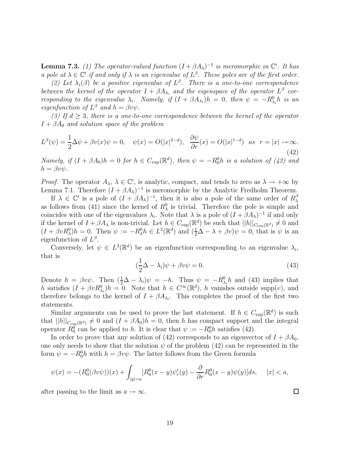**Lemma 7.3.** (1) The operator-valued function  $(I + \beta A_\lambda)^{-1}$  is meromorphic in  $\mathbb{C}'$ . It has a pole at  $\lambda \in \mathbb{C}'$  if and only if  $\lambda$  is an eigenvalue of  $L^{\beta}$ . These poles are of the first order.

(2) Let  $\lambda_i(\beta)$  be a positive eigenvalue of  $L^{\beta}$ . There is a one-to-one correspondence between the kernel of the operator  $I + \beta A_{\lambda_i}$  and the eigenspace of the operator  $L^{\beta}$  corresponding to the eigenvalue  $\lambda_i$ . Namely, if  $(I + \beta A_{\lambda_i})h = 0$ , then  $\psi = -R_{\lambda_i}^0 h$  is an eigenfunction of  $L^{\beta}$  and  $h = \beta v \psi$ .

(3) If  $d \geq 3$ , there is a one-to-one correspondence between the kernel of the operator  $I + \beta A_0$  and solution space of the problem

$$
L^{\beta}(\psi) = \frac{1}{2}\Delta\psi + \beta v(x)\psi = 0, \quad \psi(x) = O(|x|^{2-d}), \quad \frac{\partial\psi}{\partial r}(x) = O(|x|^{1-d}) \quad \text{as} \quad r = |x| \to \infty.
$$
\n
$$
(42)
$$

Namely, if  $(I + \beta A_0)h = 0$  for  $h \in C_{exp}(\mathbb{R}^d)$ , then  $\psi = -R_0^0 h$  is a solution of  $(42)$  and  $h = \beta v \psi$ .

*Proof.* The operator  $A_{\lambda}$ ,  $\lambda \in \mathbb{C}'$ , is analytic, compact, and tends to zero as  $\lambda \to +\infty$  by Lemma 7.1. Therefore  $(I + \beta A_\lambda)^{-1}$  is meromorphic by the Analytic Fredholm Theorem.

If  $\lambda \in \mathbb{C}'$  is a pole of  $(I + \beta A_{\lambda})^{-1}$ , then it is also a pole of the same order of  $R_{\lambda}^{\beta}$ as follows from (41) since the kernel of  $R_{\lambda}^{0}$  is trivial. Therefore the pole is simple and coincides with one of the eigenvalues  $\lambda_i$ . Note that  $\lambda$  is a pole of  $(I + \beta A_\lambda)^{-1}$  if and only if the kernel of  $I + \beta A_\lambda$  is non-trivial. Let  $h \in C_{\text{exp}}(\mathbb{R}^d)$  be such that  $||h||_{C_{\text{exp}}(\mathbb{R}^d)} \neq 0$  and  $(I + \beta v R_\lambda^0)h = 0$ . Then  $\psi := -R_\lambda^0 h \in L^2(\mathbb{R}^d)$  and  $(\frac{1}{2}\Delta - \lambda + \beta v)\psi = 0$ , that is  $\psi$  is an eigenfunction of  $L^{\beta}$ .

Conversely, let  $\psi \in L^2(\mathbb{R}^d)$  be an eigenfunction corresponding to an eigenvalue  $\lambda_i$ , that is

$$
(\frac{1}{2}\Delta - \lambda_i)\psi + \beta v\psi = 0.
$$
\n(43)

Denote  $h = \beta v \psi$ . Then  $(\frac{1}{2}\Delta - \lambda_i)\psi = -h$ . Thus  $\psi = -R_{\lambda_i}^0 h$  and (43) implies that h satisfies  $(I + \beta v R_{\lambda_i}^0)h = 0$ . Note that  $h \in C^{\infty}(\mathbb{R}^d)$ , h vanishes outside supp $(v)$ , and therefore belongs to the kernel of  $I + \beta A_{\lambda_i}$ . This completes the proof of the first two statements.

Similar arguments can be used to prove the last statement. If  $h \in C_{\text{exp}}(\mathbb{R}^d)$  is such that  $||h||_{C_{exp}(\mathbb{R}^d)} \neq 0$  and  $(I + \beta A_0)h = 0$ , then h has compact support and the integral operator  $R_0^0$  can be applied to h. It is clear that  $\psi := -R_0^0 h$  satisfies (42).

In order to prove that any solution of (42) corresponds to an eigenvector of  $I + \beta A_0$ , one only needs to show that the solution  $\psi$  of the problem (42) can be represented in the form  $\psi = -R_0^0 h$  with  $h = \beta v \psi$ . The latter follows from the Green formula

$$
\psi(x) = -(R_0^0(\beta v\psi))(x) + \int_{|y|=a} [R_0^0(x-y)\psi_r'(y) - \frac{\partial}{\partial r}R_0^0(x-y)\psi(y)]ds, \quad |x| < a,
$$

after passing to the limit as  $a \to \infty$ .

 $\Box$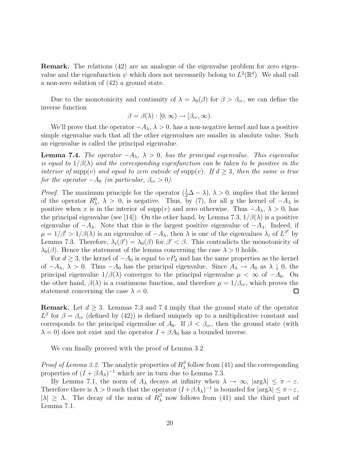**Remark.** The relations (42) are an analogue of the eigenvalue problem for zero eigenvalue and the eigenfunction  $\psi$  which does not necessarily belong to  $L^2(\mathbb{R}^d)$ . We shall call a non-zero solution of (42) a ground state.

Due to the monotonicity and continuity of  $\lambda = \lambda_0(\beta)$  for  $\beta > \beta_{cr}$ , we can define the inverse function

$$
\beta = \beta(\lambda) : [0, \infty) \to [\beta_{cr}, \infty).
$$

We'll prove that the operator  $-A_\lambda$ ,  $\lambda > 0$ , has a non-negative kernel and has a positive simple eigenvalue such that all the other eigenvalues are smaller in absolute value. Such an eigenvalue is called the principal eigenvalue.

**Lemma 7.4.** The operator  $-A_\lambda$ ,  $\lambda > 0$ , has the principal eigenvalue. This eigenvalue is equal to  $1/\beta(\lambda)$  and the corresponding eigenfunction can be taken to be positive in the interior of supp(v) and equal to zero outside of supp(v). If  $d \geq 3$ , then the same is true for the operator  $-A_0$  (in particular,  $\beta_{cr} > 0$ ).

*Proof.* The maximum principle for the operator  $(\frac{1}{2}\Delta - \lambda)$ ,  $\lambda > 0$ , implies that the kernel of the operator  $R^0_\lambda$ ,  $\lambda > 0$ , is negative. Thus, by (7), for all y the kernel of  $-A_\lambda$  is positive when x is in the interior of supp(v) and zero otherwise. Thus  $-A_\lambda$ ,  $\lambda > 0$ , has the principal eigenvalue (see [14]). On the other hand, by Lemma 7.3,  $1/\beta(\lambda)$  is a positive eigenvalue of  $-A_\lambda$ . Note that this is the largest positive eigenvalue of  $-A_\lambda$ . Indeed, if  $\mu = 1/\beta' > 1/\beta(\lambda)$  is an eigenvalue of  $-A_{\lambda}$ , then  $\lambda$  is one of the eigenvalues  $\lambda_i$  of  $L^{\beta'}$  by Lemma 7.3. Therefore,  $\lambda_i(\beta') = \lambda_0(\beta)$  for  $\beta' < \beta$ . This contradicts the monotonicity of  $\lambda_0(\beta)$ . Hence the statement of the lemma concerning the case  $\lambda > 0$  holds.

For  $d \geq 3$ , the kernel of  $-A_0$  is equal to  $vP_d$  and has the same properties as the kernel of  $-A_\lambda$ ,  $\lambda > 0$ . Thus  $-A_0$  has the principal eigenvalue. Since  $A_\lambda \to A_0$  as  $\lambda \downarrow 0$ , the principal eigenvalue  $1/\beta(\lambda)$  converges to the principal eigenvalue  $\mu < \infty$  of  $-A_0$ . On the other hand,  $\beta(\lambda)$  is a continuous function, and therefore  $\mu = 1/\beta_{cr}$ , which proves the statement concerning the case  $\lambda = 0$ .  $\Box$ 

**Remark.** Let  $d \geq 3$ . Lemmas 7.3 and 7.4 imply that the ground state of the operator  $L^{\beta}$  for  $\beta = \beta_{cr}$  (defined by (42)) is defined uniquely up to a multiplicative constant and corresponds to the principal eigenvalue of  $A_0$ . If  $\beta < \beta_{cr}$ , then the ground state (with  $\lambda = 0$ ) does not exist and the operator  $I + \beta A_0$  has a bounded inverse.

We can finally proceed with the proof of Lemma 3.2.

*Proof of Lemma 3.2.* The analytic properties of  $R^{\beta}_{\lambda}$  follow from (41) and the corresponding properties of  $(I + \beta A_\lambda)^{-1}$  which are in turn due to Lemma 7.3.

By Lemma 7.1, the norm of  $A_\lambda$  decays at infinity when  $\lambda \to \infty$ ,  $|\arg \lambda| \leq \pi - \varepsilon$ . Therefore there is  $\Lambda > 0$  such that the operator  $(I + \beta A_\lambda)^{-1}$  is bounded for  $|\arg \lambda| \leq \pi - \varepsilon$ ,  $|\lambda| \geq \Lambda$ . The decay of the norm of  $R_{\lambda}^{\beta}$  now follows from (41) and the third part of Lemma 7.1.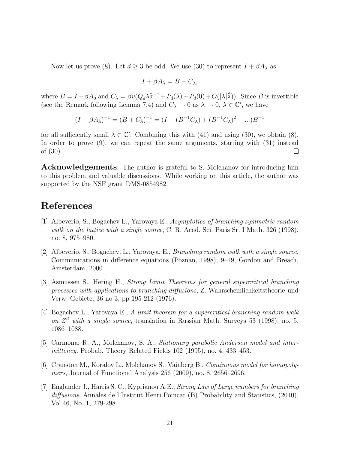Now let us prove (8). Let  $d \geq 3$  be odd. We use (30) to represent  $I + \beta A_{\lambda}$  as

$$
I + \beta A_{\lambda} = B + C_{\lambda},
$$

where  $B = I + \beta A_0$  and  $C_{\lambda} = \beta v (Q_d \lambda^{\frac{d}{2}-1} + P_d(\lambda) - P_d(0) + O(|\lambda|^{\frac{d}{2}}))$ . Since B is invertible (see the Remark following Lemma 7.4) and  $C_{\lambda} \to 0$  as  $\lambda \to 0$ ,  $\lambda \in \mathbb{C}'$ , we have

$$
(I + \beta A_{\lambda})^{-1} = (B + C_{\lambda})^{-1} = (I - (B^{-1}C_{\lambda}) + (B^{-1}C_{\lambda})^2 - ... )B^{-1}
$$

for all sufficiently small  $\lambda \in \mathbb{C}'$ . Combining this with (41) and using (30), we obtain (8). In order to prove (9), we can repeat the same arguments, starting with (31) instead of (30).  $\Box$ 

**Acknowledgements**: The author is grateful to S. Molchanov for introducing him to this problem and valuable discussions. While working on this article, the author was supported by the NSF grant DMS-0854982.

#### **References**

- [1] Albeverio, S., Bogachev L., Yarovaya E., Asymptotics of branching symmetric random walk on the lattice with a single source, C. R. Acad. Sci. Paris Sr. I Math. 326 (1998), no. 8, 975–980.
- [2] Albeverio, S., Bogachev, L., Yarovaya, E., Branching random walk with a single source, Communications in difference equations (Poznan, 1998), 9–19, Gordon and Breach, Amsterdam, 2000.
- [3] Asmussen S., Hering H., Strong Limit Theorems for general supercritical branching processes with applications to branching diffusions, Z. Wahrscheinlichkeitstheorie und Verw. Gebiete, 36 no 3, pp 195-212 (1976).
- [4] Bogachev L., Yarovaya E., A limit theorem for a supercritical branching random walk on  $Z^d$  with a single source, translation in Russian Math. Surveys 53 (1998), no. 5, 1086–1088.
- [5] Carmona, R. A.; Molchanov, S. A., Stationary parabolic Anderson model and intermittency. Probab. Theory Related Fields 102 (1995), no. 4, 433–453.
- [6] Cranston M., Koralov L., Molchanov S., Vainberg B., Continuous model for homopolymers, Journal of Functional Analysis 256 (2009), no. 8, 2656–2696.
- [7] Englander J., Harris S. C., Kyprianou A.E., Strong Law of Large numbers for branching diffusions, Annales de l'Institut Henri Poincar (B) Probability and Statistics, (2010), Vol.46, No. 1, 279-298.